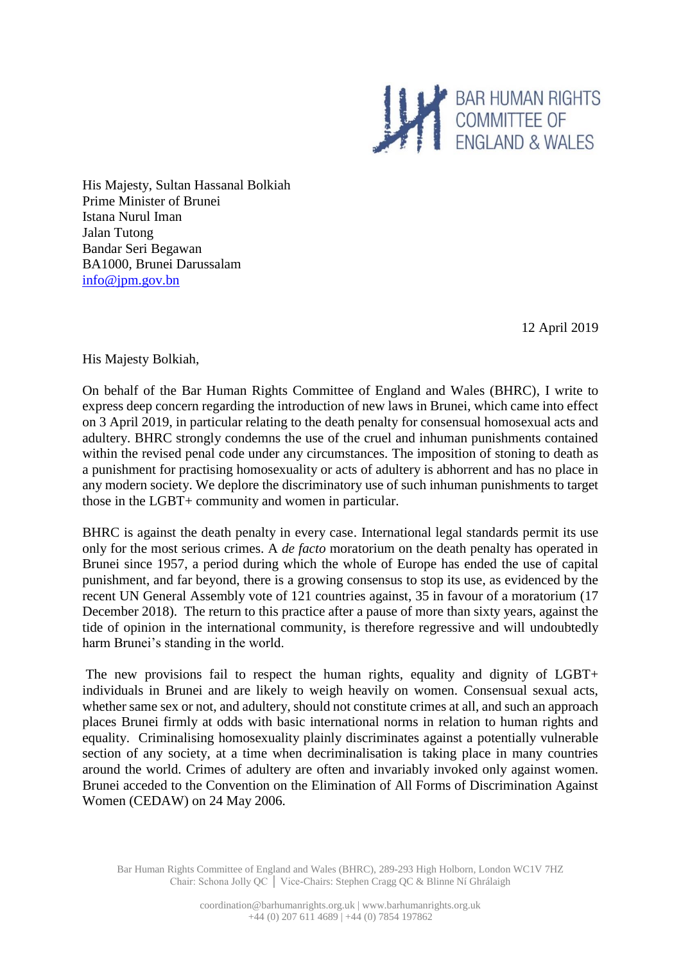

His Majesty, Sultan Hassanal Bolkiah Prime Minister of Brunei Istana Nurul Iman Jalan Tutong Bandar Seri Begawan BA1000, Brunei Darussalam [info@jpm.gov.bn](mailto:info@jpm.gov.bn)

12 April 2019

His Majesty Bolkiah,

On behalf of the Bar Human Rights Committee of England and Wales (BHRC), I write to express deep concern regarding the introduction of new laws in Brunei, which came into effect on 3 April 2019, in particular relating to the death penalty for consensual homosexual acts and adultery. BHRC strongly condemns the use of the cruel and inhuman punishments contained within the revised penal code under any circumstances. The imposition of stoning to death as a punishment for practising homosexuality or acts of adultery is abhorrent and has no place in any modern society. We deplore the discriminatory use of such inhuman punishments to target those in the LGBT+ community and women in particular.

BHRC is against the death penalty in every case. International legal standards permit its use only for the most serious crimes. A *de facto* moratorium on the death penalty has operated in Brunei since 1957, a period during which the whole of Europe has ended the use of capital punishment, and far beyond, there is a growing consensus to stop its use, as evidenced by the recent UN General Assembly vote of 121 countries against, 35 in favour of a moratorium (17 December 2018). The return to this practice after a pause of more than sixty years, against the tide of opinion in the international community, is therefore regressive and will undoubtedly harm Brunei's standing in the world.

The new provisions fail to respect the human rights, equality and dignity of LGBT+ individuals in Brunei and are likely to weigh heavily on women. Consensual sexual acts, whether same sex or not, and adultery, should not constitute crimes at all, and such an approach places Brunei firmly at odds with basic international norms in relation to human rights and equality. Criminalising homosexuality plainly discriminates against a potentially vulnerable section of any society, at a time when decriminalisation is taking place in many countries around the world. Crimes of adultery are often and invariably invoked only against women. Brunei acceded to the Convention on the Elimination of All Forms of Discrimination Against Women (CEDAW) on 24 May 2006.

Bar Human Rights Committee of England and Wales (BHRC), 289-293 High Holborn, London WC1V 7HZ Chair: Schona Jolly QC │ Vice-Chairs: Stephen Cragg QC & Blinne Ní Ghrálaigh